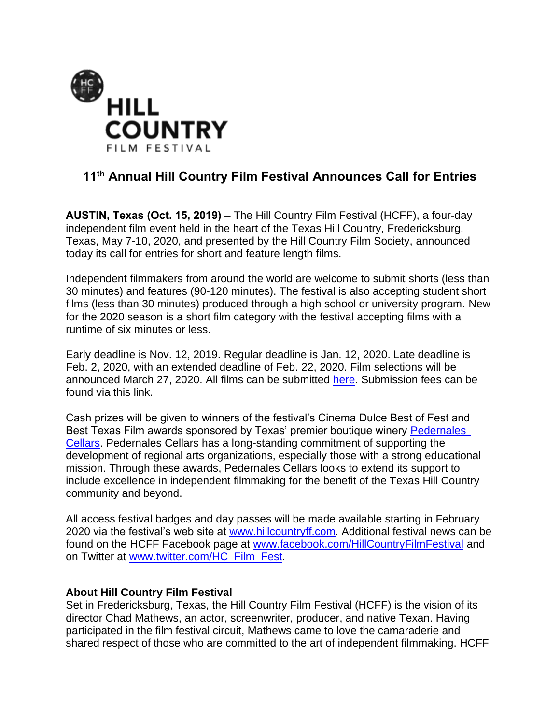

## **11 th Annual Hill Country Film Festival Announces Call for Entries**

**AUSTIN, Texas (Oct. 15, 2019)** – The Hill Country Film Festival (HCFF), a four-day independent film event held in the heart of the Texas Hill Country, Fredericksburg, Texas, May 7-10, 2020, and presented by the Hill Country Film Society, announced today its call for entries for short and feature length films.

Independent filmmakers from around the world are welcome to submit shorts (less than 30 minutes) and features (90-120 minutes). The festival is also accepting student short films (less than 30 minutes) produced through a high school or university program. New for the 2020 season is a short film category with the festival accepting films with a runtime of six minutes or less.

Early deadline is Nov. 12, 2019. Regular deadline is Jan. 12, 2020. Late deadline is Feb. 2, 2020, with an extended deadline of Feb. 22, 2020. Film selections will be announced March 27, 2020. All films can be submitted [here.](http://www.hillcountryff.com/festival/submissions-3/) Submission fees can be found via this link.

Cash prizes will be given to winners of the festival's Cinema Dulce Best of Fest and Best Texas Film awards sponsored by Texas' premier boutique winery [Pedernales](https://www.pedernalescellars.com/)  [Cellars.](https://www.pedernalescellars.com/) Pedernales Cellars has a long-standing commitment of supporting the development of regional arts organizations, especially those with a strong educational mission. Through these awards, Pedernales Cellars looks to extend its support to include excellence in independent filmmaking for the benefit of the Texas Hill Country community and beyond.

All access festival badges and day passes will be made available starting in February 2020 via the festival's web site at [www.hillcountryff.com.](http://www.hillcountryff.com/) Additional festival news can be found on the HCFF Facebook page at [www.facebook.com/HillCountryFilmFestival](http://www.facebook.com/HillCountryFilmFestival) and on Twitter at [www.twitter.com/HC\\_Film\\_Fest.](http://www.twitter.com/HC_Film_Fest)

## **About Hill Country Film Festival**

Set in Fredericksburg, Texas, the Hill Country Film Festival (HCFF) is the vision of its director Chad Mathews, an actor, screenwriter, producer, and native Texan. Having participated in the film festival circuit, Mathews came to love the camaraderie and shared respect of those who are committed to the art of independent filmmaking. HCFF